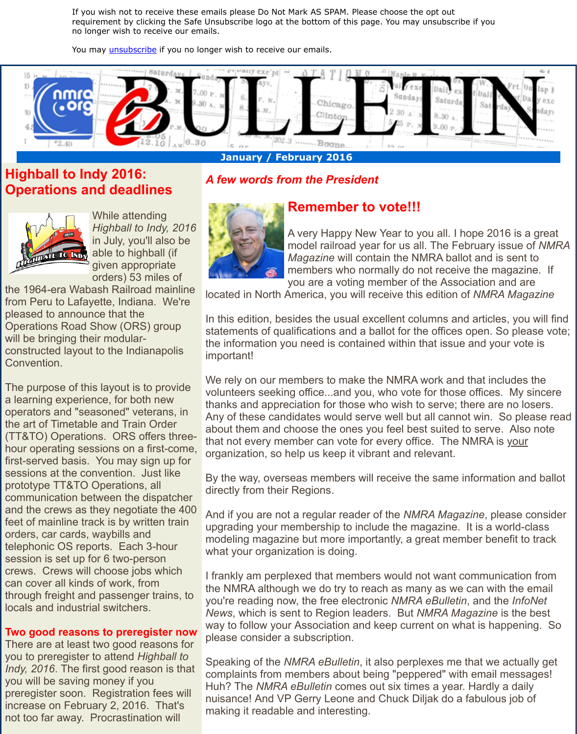## **Highball to Indy 2016: Operations and deadlines**



Wh[ile attendin](http://visitor.constantcontact.com/do?p=un&m=001Fz6H2UVkzyyGqEHPXtob9w%3D%3D&ch=&ca=cfa14380-45a6-4117-a7a8-9b3c399d6212)g *Highball to Indy, 2016* in July, you'll also be able to highball (if given appropriate orders) 53 miles of

the 1964-era Wabash Railroad mainline from Peru to Lafayette, Indiana. We're pleased to announce that the Operations Road Show (ORS) group will be bringing their modularconstructed layout to the Indianapolis Convention.

The purpose of this layout is to provide a learning experience, for both new operators and "seasoned" veterans, in the art of Timetable and Train Order (TT&TO) Operations. ORS offers threehour operating sessions on a first-come, first-served basis. You may sign up for sessions at the convention. Just like prototype TT&TO Operations, all communication between the dispatcher and the crews as they negotiate the 400 feet of mainline track is by written train orders, car cards, waybills and telephonic OS reports. Each 3-hour session is set up for 6 two-person crews. Crews will choose jobs which can cover all kinds of work, from through freight and passenger trains, to locals and industrial switchers.

### **Two good reasons to preregister now**

There are at least two good reasons for you to preregister to attend *Highball to Indy, 2016*. The first good reason is that you will be saving money if you preregister soon. Registration fees will increase on February 2, 2016. That's not too far away. Procrastination will

# *A few words from the President*



# **Remember to vote!!!**

A very Happy New Year to you a model railroad year for us all. The *Magazine* will contain the NMRA members who normally do not represents you are a voting member of the

located in North America, you will receive this edi

In this edition, besides the usual excellent column statements of qualifications and a ballot for the of the information you need is contained within that important!

We rely on our members to make the NMRA work volunteers seeking office...and you, who vote for the thanks and appreciation for those who wish to servers. Any of these candidates would serve well but all only about them and choose the ones you feel best sure. that not every member can vote for every office. organization, so help us keep it vibrant and relevant

By the way, overseas members will receive the same directly from their Regions.

And if you are not a regular reader of the *NMRA I* upgrading your membership to include the magazine. modeling magazine but more importantly, a great what your organization is doing.

I frankly am perplexed that members would not w the NMRA although we do try to reach as many a you're reading now, the free electronic *NMRA eBulleting*, and the *Infonete News*, which is sent to Region leaders. But *NMR* way to follow your Association and keep current on please consider a subscription.

Speaking of the *NMRA eBulletin*, it also perplexes complaints from members about being "peppered" Huh? The *NMRA eBulletin* comes out six times a nuisance! And VP Gerry Leone and Chuck Diljak making it readable and interesting.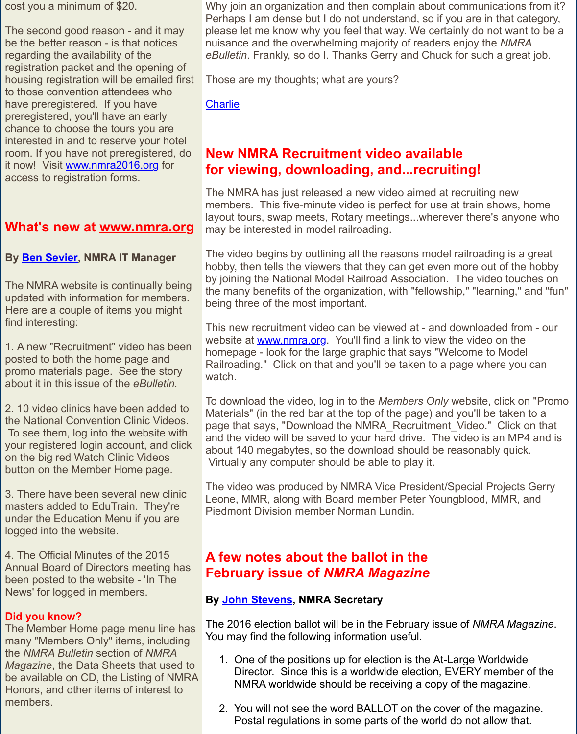it now! Visit www.nmra2016.org for access to registration forms.

## **What's new at www.nmra.org**

### **By Ben Sevier, NMRA IT Manager**

The NMRA website is continually being updated with information for members. Here are a couple of items you might find interesti[ng:](http://r20.rs6.net/tn.jsp?f=001rqlAEcJFHN0VTpP-NTcygL3FySu02aqp4-fwVvWg6hXlYrXZ0kutaA8ukJCwNVaO-087tq-XOHl-vEdrBfmgi7BjWa2w5CFjy5ueb9qpvSeQ1cPKVoxDoeDnEsq2AI0d3eQ8gFey-R5gLUzEEDVdVjQa-SiBPR-me44YAEgKqrk=&c=&ch=)

1. A new "Recruitment" video has been posted to both the home page and promo materials page. See the story about it in this issue of the *[eBulletin.](http://r20.rs6.net/tn.jsp?f=001rqlAEcJFHN0VTpP-NTcygL3FySu02aqp4-fwVvWg6hXlYrXZ0kutaM4VVSlBC9L5ud01HmCYn5L40L_4UInLrZozamt74ooqNB87Vl0DxxrN-zm9LhklfBTiALNyz3npnijuEOUxR7mQy3b1sQdr2sU0WuseLtv4&c=&ch=)*

2. 10 video clinics have been added to the [National Co](mailto:itmanager@nmra.org)nvention Clinic Videos. To see them, log into the website with your registered login account, and click on the big red Watch Clinic Videos button on the Member Home page.

3. There have been several new clinic masters added to EduTrain. They're under the Education Menu if you are logged into the website.

4. The Official Minutes of the 2015 Annual Board of Directors meeting has been posted to the website - 'In The News' for logged in members.

### **Did you know?**

The Member Home page menu line has many "Members Only" items, including the *NMRA Bulletin* section of *NMRA Magazine*, the Data Sheets that used to be available on CD, the Listing of NMRA Honors, and other items of interest to members.

## **for viewing, downloading, and...recrition**

The NMRA has just released a new video aimed at members. This five-minute video is perfect for us layout tours, swap meets, Rotary meetings...where may be interested in model railroading.

The video begins by outlining all the reasons model of [hobby,](mailto:president@nmra.org) then tells the viewers that they can get even by joining the National Model Railroad Association the many benefits of the organization, with "fellow being three of the most important.

This new recruitment video can be viewed at - an website at www.nmra.org. You'll find a link to view homepage - look for the large graphic that says "N Railroading." Click on that and you'll be taken to watch.

To download the video, log in to the *Members* On Materials" (in the red bar at the top of the page) and  $\theta$ page that says, "Download the NMRA\_Recruitme and the video will be saved to your hard drive. The video will be saved to your hard drive. about 140 megabytes, so the download should be Virtually any computer should be able to play it.

The video was produced by NMRA Vice Presiden Leone, M[MR, along with B](http://r20.rs6.net/tn.jsp?f=001rqlAEcJFHN0VTpP-NTcygL3FySu02aqp4-fwVvWg6hXlYrXZ0kutaM4VVSlBC9L5ud01HmCYn5L40L_4UInLrZozamt74ooqNB87Vl0DxxrN-zm9LhklfBTiALNyz3npnijuEOUxR7mQy3b1sQdr2sU0WuseLtv4&c=&ch=)oard member Peter Yo Piedmont Division member Norman Lundin.

# **A few notes about the ballot in the February issue of** *NMRA Magazine*

### **By John Stevens, NMRA Secretary**

The 2016 election ballot will be in the February is You may find the following information useful.

- 1. One of the positions up for election is the A Director. Since this is a worldwide election, NMRA worldwide should be receiving a cop
- 2. You will not see the word BALLOT on the co Postal regulations in some parts of the worl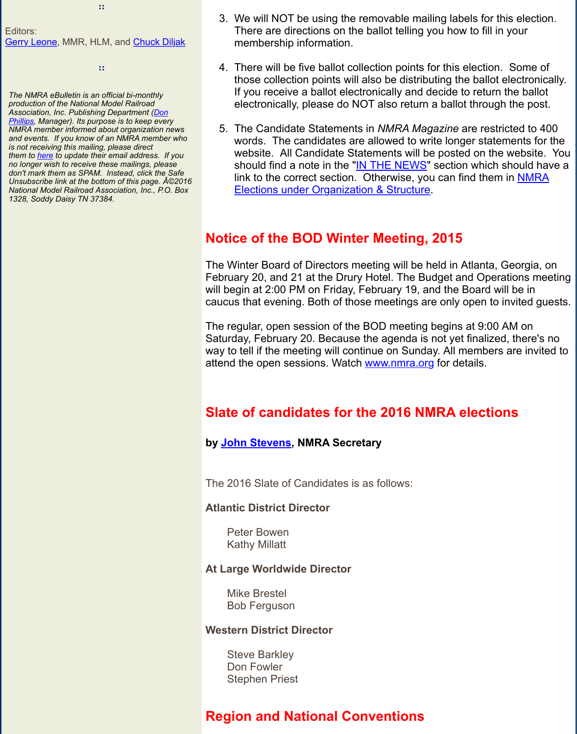*no longer wish to receive these mailings, please don't mark them as SPAM. Instead, click the Safe* Unsubscribe link at the bottom of this page.  $\angle A \otimes 2016$ *National Model Railroad Association, Inc., P.O. Box [1328, Soddy D](mailto:vpprojects@nmra.org)aisy TN 37384.*

should find a note in the "<u>IN THE NEWS</u>" so link to the correct section. Otherwise, you only Elections under Organization & Structure.

### **Notice of the BOD Winter Meeting, 2015**

The Winter Board of Directors meeting will be held February 20, and 21 at the Drury Hotel. The Budget will begin at 2:00 PM on Friday, February 19, and caucus that evening. Both of those meetings are

The regular, open session of th[e BOD meeting](http://r20.rs6.net/tn.jsp?f=001rqlAEcJFHN0VTpP-NTcygL3FySu02aqp4-fwVvWg6hXlYrXZ0kutaPJZNvLXDrMdqO_arMb_CO9eivhUYlnwitC-l2qXMMh3q9O0clrV3MQBy13x6VAXd8u44yD9yIEUWofrq5zzC4B4JLzrCwYqBKMkPlPhn_JLnxCM3jzfCb0=&c=&ch=) be Saturday, February 20. Because the agenda is no way to tell if the meeting will continue on Sunday. attend the open sessions. Watch www.nmra.org for

## **Slate of candidates for the 2016 NMF**

### **by John Stevens, NMRA Secretary**

The 2016 Slate of Candidates is as follows:

#### **Atlantic District Director**

Peter Bowen Kathy Millatt

#### **At Large Worldwide Director**

Mike Brestel [Bob Ferguson](mailto:secy@nmra.org)

#### **Western District Director**

Steve Barkley Don Fowler Stephen Priest

## **Region and National Conventions**